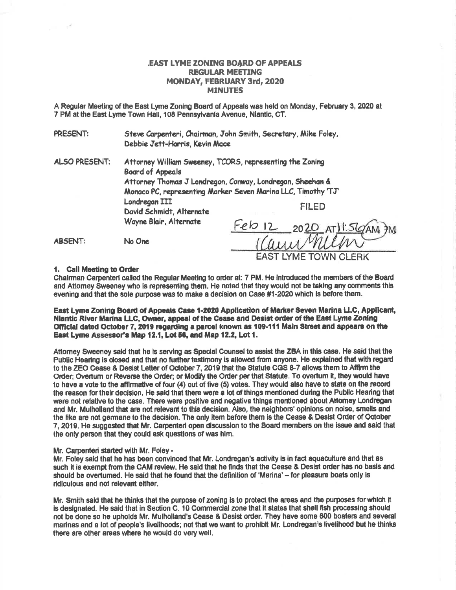## **EAST LYME ZONING BOARD OF APPEALS REGULAR MEETING** MONDAY, FEBRUARY 3rd, 2020 **MINUTES**

A Regular Meeting of the East Lyme Zoning Board of Appeals was held on Monday, February 3, 2020 at 7 PM at the East Lyme Town Hall, 108 Pennsylvania Avenue, Niantic, CT.

PRESENT: Steve Carpenteri, Chairman, John Smith, Secretary, Mike Foley, Debbie Jett-Harris, Kevin Mace

**ALSO PRESENT:** Attorney William Sweeney, TCORS, representing the Zoning **Board of Appeals** Attorney Thomas J Londregan, Conway, Londregan, Sheehan & Monaco PC, representing Marker Seven Marina LLC, Timothy 'TJ' Londregan III **FILED** David Schmidt, Alternate Wayne Blair, Alternate  $Feb12$  $2020$  ATISGAM **ABSENT:** No One

1. Call Meeting to Order

Chairman Carpenteri called the Regular Meeting to order at: 7 PM. He introduced the members of the Board and Attorney Sweeney who is representing them. He noted that they would not be taking any comments this evening and that the sole purpose was to make a decision on Case #1-2020 which is before them.

East Lyme Zoning Board of Appeals Case 1-2020 Application of Marker Seven Marina LLC, Applicant, Niantic River Marina LLC, Owner, appeal of the Cease and Desist order of the East Lyme Zoning Official dated October 7, 2019 regarding a parcel known as 109-111 Main Street and appears on the East Lyme Assessor's Map 12.1, Lot 56, and Map 12.2, Lot 1.

Attorney Sweeney said that he is serving as Special Counsel to assist the ZBA in this case. He said that the Public Hearing is closed and that no further testimony is allowed from anyone. He explained that with regard to the ZEO Cease & Desist Letter of October 7, 2019 that the Statute CGS 8-7 allows them to Affirm the Order; Overturn or Reverse the Order; or Modify the Order per that Statute. To overturn it, they would have to have a vote to the affirmative of four (4) out of five (5) votes. They would also have to state on the record the reason for their decision. He said that there were a lot of things mentioned during the Public Hearing that were not relative to the case. There were positive and negative things mentioned about Attomey Londregan and Mr. Mulholiand that are not relevant to this decision. Also, the neighbors' opinions on noise, smells and the like are not germane to the decision. The only item before them is the Cease & Desist Order of October 7, 2019. He suggested that Mr. Carpenteri open discussion to the Board members on the issue and said that the only person that they could ask questions of was him.

## Mr. Carpenteri started with Mr. Foley -

Mr. Foley said that he has been convinced that Mr. Londregan's activity is in fact aquaculture and that as such it is exempt from the CAM review. He said that he finds that the Cease & Desist order has no basis and should be overturned. He said that he found that the definition of 'Marina' - for pleasure boats only is ridiculous and not relevant either.

Mr. Smith said that he thinks that the purpose of zoning is to protect the areas and the purposes for which it is designated. He said that in Section C. 10 Commercial zone that it states that shell fish processing should not be done so he upholds Mr. Mulholland's Cease & Desist order. They have some 600 boaters and several marinas and a lot of people's livelihoods; not that we want to prohibit Mr. Londregan's livelihood but he thinks there are other areas where he would do very well.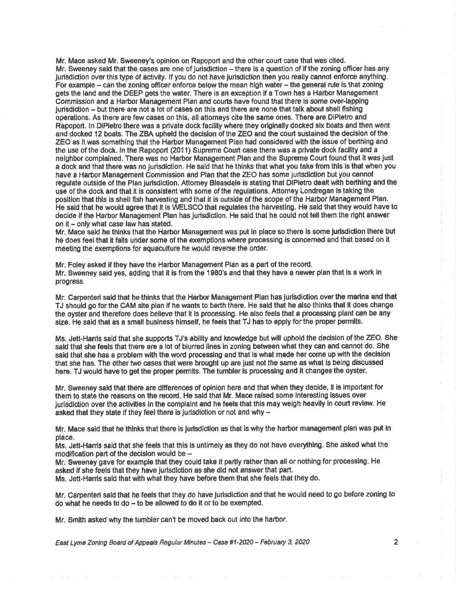Mr. Mace asked Mr. Sweeney's opinion on Rapoport and the other court case that was cited. Mr. Sweeney said that the cases are one of jurisdiction  $-$  there is a question of if the zoning officer has any Jurisdiction over this type of activity. If you do not have jurisdiction then you really cannot enforce anything. For example  $-$  can the zoning officer enforce below the mean high water  $-$  the general rule is that zoning gets the land and the DEEP gets the water. There is an exception if a Town has a Harbor Management Commission and a Harbor Management Plan and courls have found that there is some overJapping jurisdiction - but there are not a lot of cases on this and there are none that talk about shell fishing operations. As there are few cases on this, all attomeys cite the same ones. There are DiPietro and Rapoport. ln DiPletro there was a private dock facility where they originelly docked slx boats and then went and dooked 12 boats. The ZBA upheld the doclsion of the ZEO snd the court sustainsd the decislon of the ZEO gs lt was something that the Harbor Management Plan had oonsiderod with the issue of berthlng and the use of the dock. In the Rapoport (2011) Supreme Court case there was a private dock facility and a nelghbor complained. There was no Harbor Management Plan and the Supreme Courl found that it was lust a dook and that there wes no jurisdiction. He sald that he thinks that what you take from thls ls that when you have a Harbor Management Commission and Plan that the ZEO has some jurisdiction but you cannot requiate outside of the Plan jurisdiction. Attomey Bleasdale is stating that DiPietro dealt with berthing and the usa of the dock and that it is consislent wlth some of the regulations. Attorney Londregan ls taking the position that this is shell fish harvesting and that it is outside of the scope of the Harbor Management Plan. He said that he would agree that it is WELSCO that regulates the harvesting. He said that they would have to decide if the Harbor Management Plan has jurisdiction. He said that he could not tell them the right answer on it - only what case law has stated.

Mr. Mace said he thinks that the Harbor Management was put in place so there is some jurisdiction there but he does feel that it falls under some of the exemptions where processing is concerned and that based on it meeting the exemptions for aquaculture he would reverse the order.

Mr. Foley askad if they have the Harbor Management Plen as s part of ths record. Mr. Sweeney said yes, adding that it ls from the 1980's and that they have a nawer plan that is a work in progress.

Mr. Carpenteri said that he thinks that the Harbor Management Plan has jurisdiction over the marina and that TJ should go for the CAM site plan if he wants to berth therc. He said that he also thlnks that lt does change the oyster and therefore does believe that it is processing. He also feels that a processing plant can be any size. He said that as a small business himself, he feels that TJ has to apply for the proper permits.

Ms. Jett-Harris said that she supports TJ's ability and knowledge but will uphold the decision of the ZEO. She said that she feels that there are a lot of blurred lines in zoning between what they can and cannot do. She said that she has a problem with the word processing and that is what made her come up with the decision that she has. The other two cases that were brought up are just not the same as what is being discussed here. TJ would have to get the proper permits. The tumbler is processing and it changes the oyster.

Mr. Sweeney said that there are differences of opinion here and that when they decide, it is important for them to state the neasons on the record. He sald that Mr. Mace relsed some lnterestlng issues over jurisdiction over the activities in the complaint and he feels that this may weigh heavily in court review. He asked that they state if they feel there is jurisdiction or not and why  $-$ 

Mr. Mace said that he thinks that there is jurlsdiction as that is why the harbor management plan was put in place.

Ms. Jett-Hamis said that she feels that this is untimely as they do not have everything. She asked what the modification part of the decision would be  $-$ 

Mr. Sweeney gave for example that they could take it partly rather than all or nothing for processing. He asked if she feels that they have jurisdiction as she did not answer that part.

Ms. Jott-Hanis sald that with what they have before them that sho feels that they do.

Mr. Carpenteri ssld that he feels that they do heve jurisdiction and that he would need to go before zoning to  $do$  what he needs to  $do - to$  be allowed to do it or to be exempted.

Mr. Smlth asked why the lumbler can't be moved back out into the harbor.

East Lyme Zoning Board of Appeals Regular Minutes - Case #1-2020 - February 3, 2020 2011 2020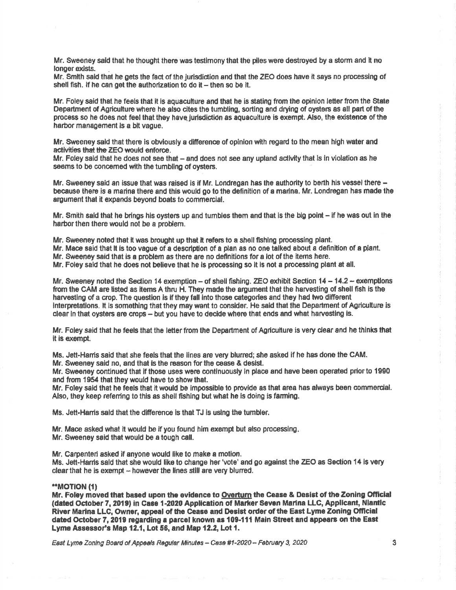Mr. Sweeney said that he thought there was testimony that the piles were destroyed by a storm and it no longer exists.

Mr. Smith said that he gets the fact of the jurisdiction and that the ZEO does have it says no processing of shell fish. If he can get the authorization to do it  $-$  then so be it.

Mr. Foley said that he feels that it is aguaculture and that he is stating from the opinion letter from the State Department of Agriculture where he also cites the tumbling, sorting and drying of oysters as all part of the process so he does not feel that they have jurisdiction as aquaculture is exempt. Also, the existence of the harbor management is a bit yaque.

Mr. Sweeney said that there is obviously a difference of opinion with regard to the mean high water and activities that the ZEO would enforce.

Mr. Foley said that he does not see that - and does not see any upland activity that is in violation as he seems to be concerned with the tumbling of oysters.

Mr. Sweeney said an issue that was raised is if Mr. Londregan has the authority to berth his vessel there because there is a marina there and this would go to the definition of a marina. Mr. Londregan has made the argument that it expands beyond boats to commercial.

Mr. Smith said that he brings his oysters up and tumbles them and that is the big point – if he was out in the harbor then there would not be a problem.

Mr. Sweeney noted that it was brought up that it refers to a shell fishing processing plant.

Mr. Mace said that it is too vague of a description of a plan as no one talked about a definition of a plant,

Mr. Sweeney said that is a problem as there are no definitions for a lot of the items here.

Mr. Foley said that he does not believe that he is processing so it is not a processing plant at all.

Mr. Sweeney noted the Section 14 exemption - of shell fishing. ZEO exhibit Section 14 - 14.2 - exemptions from the CAM are listed as items A thru H. They made the argument that the harvesting of shell fish is the harvesting of a crop. The question is if they fall into those categories and they had two different interpretations. It is something that they may want to consider. He said that the Department of Agriculture is clear in that oysters are crops - but you have to decide where that ends and what harvesting is.

Mr. Foley said that he feels that the letter from the Department of Agriculture is very clear and he thinks that it is exempt.

Ms. Jett-Harris said that she feels that the lines are very blurred; she asked if he has done the CAM.

Mr. Sweeney said no, and that is the reason for the cease & desist.

Mr. Sweeney continued that if those uses were continuously in place and have been operated prior to 1990 and from 1954 that they would have to show that.

Mr. Foley said that he feels that it would be impossible to provide as that area has always been commercial. Also, they keep referring to this as shell fishing but what he is doing is farming.

Ms. Jett-Hams said that the difference is that TJ is using the tumbler.

Mr. Mace asked what it would be if you found him exempt but also processing.

Mr. Sweeney said that would be a tough call.

Mr. Carpenteri asked if anyone would like to make a motion.

Ms. Jett-Harris said that she would like to change her 'vote' and go against the ZEO as Section 14 is very clear that he is exempt – however the lines still are very blurred.

## "MOTION (1)

Mr. Foley moved that based upon the evidence to Overturn the Cease & Desist of the Zoning Official (dated October 7, 2019) in Case 1-2020 Application of Marker Seven Marina LLC, Applicant, Niantic River Marina LLC, Owner, appeal of the Cease and Desist order of the East Lyme Zoning Official dated October 7, 2019 regarding a parcel known as 109-111 Main Street and appears on the East Lyme Assessor's Map 12.1, Lot 56, and Map 12.2, Lot 1.

East Lyme Zoning Board of Appeals Regular Minutes - Case #1-2020 - February 3, 2020